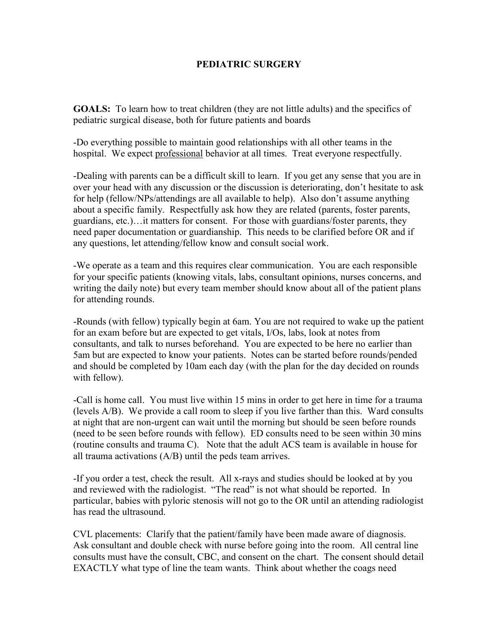## **PEDIATRIC SURGERY**

**GOALS:** To learn how to treat children (they are not little adults) and the specifics of pediatric surgical disease, both for future patients and boards

-Do everything possible to maintain good relationships with all other teams in the hospital. We expect professional behavior at all times. Treat everyone respectfully.

-Dealing with parents can be a difficult skill to learn. If you get any sense that you are in over your head with any discussion or the discussion is deteriorating, don't hesitate to ask for help (fellow/NPs/attendings are all available to help). Also don't assume anything about a specific family. Respectfully ask how they are related (parents, foster parents, guardians, etc.)…it matters for consent. For those with guardians/foster parents, they need paper documentation or guardianship. This needs to be clarified before OR and if any questions, let attending/fellow know and consult social work.

-We operate as a team and this requires clear communication. You are each responsible for your specific patients (knowing vitals, labs, consultant opinions, nurses concerns, and writing the daily note) but every team member should know about all of the patient plans for attending rounds.

-Rounds (with fellow) typically begin at 6am. You are not required to wake up the patient for an exam before but are expected to get vitals, I/Os, labs, look at notes from consultants, and talk to nurses beforehand. You are expected to be here no earlier than 5am but are expected to know your patients. Notes can be started before rounds/pended and should be completed by 10am each day (with the plan for the day decided on rounds with fellow).

-Call is home call. You must live within 15 mins in order to get here in time for a trauma (levels A/B). We provide a call room to sleep if you live farther than this. Ward consults at night that are non-urgent can wait until the morning but should be seen before rounds (need to be seen before rounds with fellow). ED consults need to be seen within 30 mins (routine consults and trauma C). Note that the adult ACS team is available in house for all trauma activations (A/B) until the peds team arrives.

-If you order a test, check the result. All x-rays and studies should be looked at by you and reviewed with the radiologist. "The read" is not what should be reported. In particular, babies with pyloric stenosis will not go to the OR until an attending radiologist has read the ultrasound.

CVL placements: Clarify that the patient/family have been made aware of diagnosis. Ask consultant and double check with nurse before going into the room. All central line consults must have the consult, CBC, and consent on the chart. The consent should detail EXACTLY what type of line the team wants. Think about whether the coags need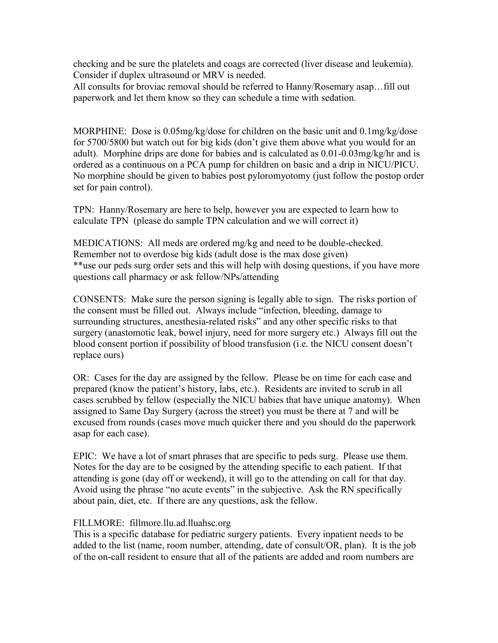checking and be sure the platelets and coags are corrected (liver disease and leukemia). Consider if duplex ultrasound or MRV is needed.

All consults for broviac removal should be referred to Hanny/Rosemary asap…fill out paperwork and let them know so they can schedule a time with sedation.

MORPHINE: Dose is 0.05mg/kg/dose for children on the basic unit and 0.1mg/kg/dose for 5700/5800 but watch out for big kids (don't give them above what you would for an adult). Morphine drips are done for babies and is calculated as 0.01-0.03mg/kg/hr and is ordered as a continuous on a PCA pump for children on basic and a drip in NICU/PICU. No morphine should be given to babies post pyloromyotomy (just follow the postop order set for pain control).

TPN: Hanny/Rosemary are here to help, however you are expected to learn how to calculate TPN (please do sample TPN calculation and we will correct it)

MEDICATIONS: All meds are ordered mg/kg and need to be double-checked. Remember not to overdose big kids (adult dose is the max dose given) \*\*use our peds surg order sets and this will help with dosing questions, if you have more questions call pharmacy or ask fellow/NPs/attending

CONSENTS: Make sure the person signing is legally able to sign. The risks portion of the consent must be filled out. Always include "infection, bleeding, damage to surrounding structures, anesthesia-related risks" and any other specific risks to that surgery (anastomotic leak, bowel injury, need for more surgery etc.) Always fill out the blood consent portion if possibility of blood transfusion (i.e. the NICU consent doesn't replace ours)

OR: Cases for the day are assigned by the fellow. Please be on time for each case and prepared (know the patient's history, labs, etc.). Residents are invited to scrub in all cases scrubbed by fellow (especially the NICU babies that have unique anatomy). When assigned to Same Day Surgery (across the street) you must be there at 7 and will be excused from rounds (cases move much quicker there and you should do the paperwork asap for each case).

EPIC: We have a lot of smart phrases that are specific to peds surg. Please use them. Notes for the day are to be cosigned by the attending specific to each patient. If that attending is gone (day off or weekend), it will go to the attending on call for that day. Avoid using the phrase "no acute events" in the subjective. Ask the RN specifically about pain, diet, etc. If there are any questions, ask the fellow.

## FILLMORE: fillmore.llu.ad.lluahsc.org

This is a specific database for pediatric surgery patients. Every inpatient needs to be added to the list (name, room number, attending, date of consult/OR, plan). It is the job of the on-call resident to ensure that all of the patients are added and room numbers are